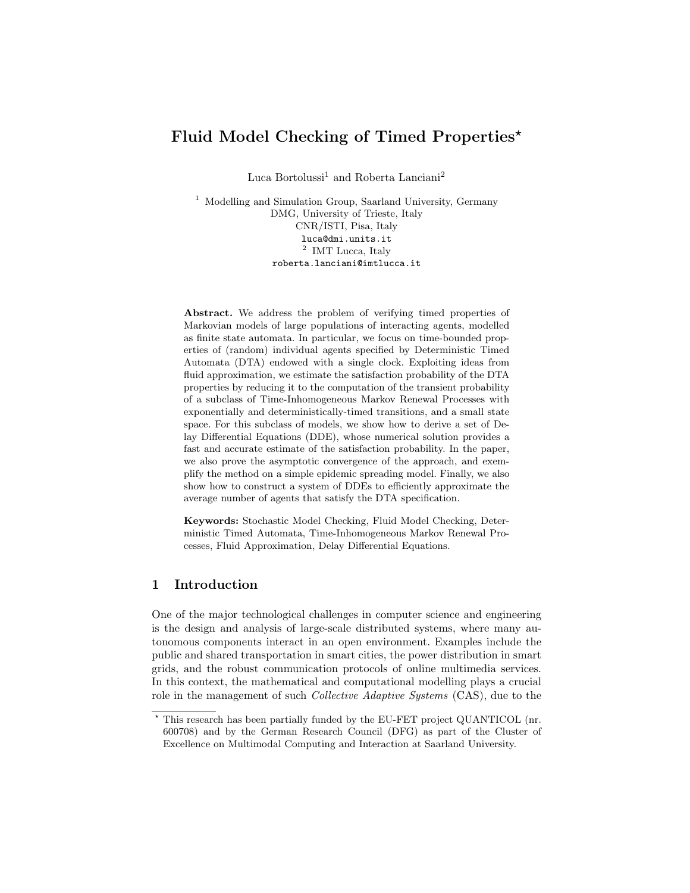# Fluid Model Checking of Timed Properties<sup>\*</sup>

 $\rm Luca$  Bortolussi $^1$  and Roberta  $\rm Lanciani^2$ 

<sup>1</sup> Modelling and Simulation Group, Saarland University, Germany DMG, University of Trieste, Italy CNR/ISTI, Pisa, Italy luca@dmi.units.it <sup>2</sup> IMT Lucca, Italy roberta.lanciani@imtlucca.it

Abstract. We address the problem of verifying timed properties of Markovian models of large populations of interacting agents, modelled as finite state automata. In particular, we focus on time-bounded properties of (random) individual agents specified by Deterministic Timed Automata (DTA) endowed with a single clock. Exploiting ideas from fluid approximation, we estimate the satisfaction probability of the DTA properties by reducing it to the computation of the transient probability of a subclass of Time-Inhomogeneous Markov Renewal Processes with exponentially and deterministically-timed transitions, and a small state space. For this subclass of models, we show how to derive a set of Delay Differential Equations (DDE), whose numerical solution provides a fast and accurate estimate of the satisfaction probability. In the paper, we also prove the asymptotic convergence of the approach, and exemplify the method on a simple epidemic spreading model. Finally, we also show how to construct a system of DDEs to efficiently approximate the average number of agents that satisfy the DTA specification.

Keywords: Stochastic Model Checking, Fluid Model Checking, Deterministic Timed Automata, Time-Inhomogeneous Markov Renewal Processes, Fluid Approximation, Delay Differential Equations.

# 1 Introduction

One of the major technological challenges in computer science and engineering is the design and analysis of large-scale distributed systems, where many autonomous components interact in an open environment. Examples include the public and shared transportation in smart cities, the power distribution in smart grids, and the robust communication protocols of online multimedia services. In this context, the mathematical and computational modelling plays a crucial role in the management of such *Collective Adaptive Systems* (CAS), due to the

<sup>?</sup> This research has been partially funded by the EU-FET project QUANTICOL (nr. 600708) and by the German Research Council (DFG) as part of the Cluster of Excellence on Multimodal Computing and Interaction at Saarland University.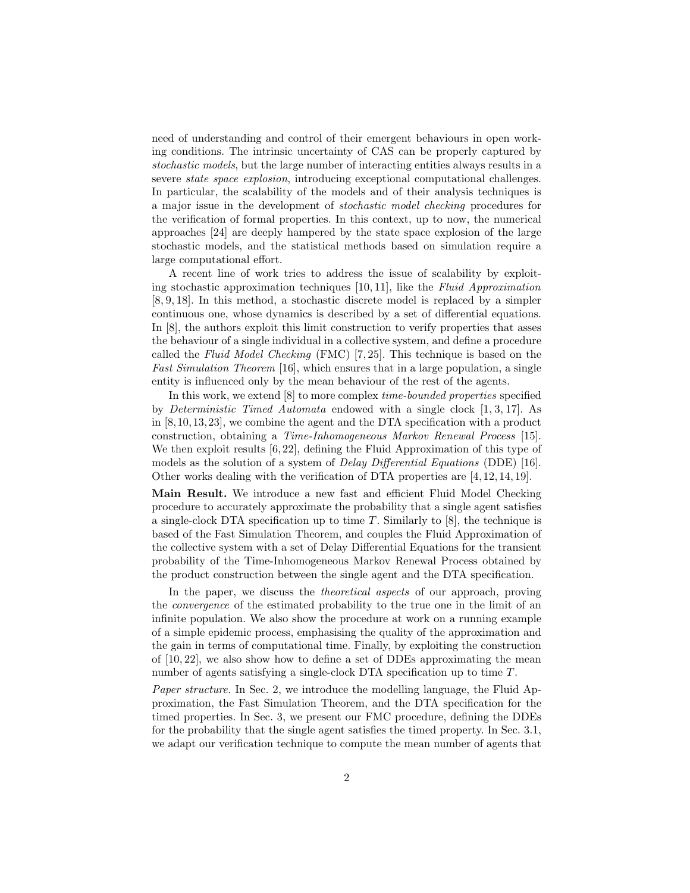need of understanding and control of their emergent behaviours in open working conditions. The intrinsic uncertainty of CAS can be properly captured by stochastic models, but the large number of interacting entities always results in a severe state space explosion, introducing exceptional computational challenges. In particular, the scalability of the models and of their analysis techniques is a major issue in the development of stochastic model checking procedures for the verification of formal properties. In this context, up to now, the numerical approaches [24] are deeply hampered by the state space explosion of the large stochastic models, and the statistical methods based on simulation require a large computational effort.

A recent line of work tries to address the issue of scalability by exploiting stochastic approximation techniques  $[10, 11]$ , like the Fluid Approximation [8, 9, 18]. In this method, a stochastic discrete model is replaced by a simpler continuous one, whose dynamics is described by a set of differential equations. In [8], the authors exploit this limit construction to verify properties that asses the behaviour of a single individual in a collective system, and define a procedure called the Fluid Model Checking (FMC) [7, 25]. This technique is based on the Fast Simulation Theorem [16], which ensures that in a large population, a single entity is influenced only by the mean behaviour of the rest of the agents.

In this work, we extend [8] to more complex time-bounded properties specified by Deterministic Timed Automata endowed with a single clock [1, 3, 17]. As in [8,10,13,23], we combine the agent and the DTA specification with a product construction, obtaining a Time-Inhomogeneous Markov Renewal Process [15]. We then exploit results [6, 22], defining the Fluid Approximation of this type of models as the solution of a system of Delay Differential Equations (DDE) [16]. Other works dealing with the verification of DTA properties are [4, 12, 14, 19].

Main Result. We introduce a new fast and efficient Fluid Model Checking procedure to accurately approximate the probability that a single agent satisfies a single-clock DTA specification up to time T. Similarly to  $[8]$ , the technique is based of the Fast Simulation Theorem, and couples the Fluid Approximation of the collective system with a set of Delay Differential Equations for the transient probability of the Time-Inhomogeneous Markov Renewal Process obtained by the product construction between the single agent and the DTA specification.

In the paper, we discuss the theoretical aspects of our approach, proving the convergence of the estimated probability to the true one in the limit of an infinite population. We also show the procedure at work on a running example of a simple epidemic process, emphasising the quality of the approximation and the gain in terms of computational time. Finally, by exploiting the construction of  $[10, 22]$ , we also show how to define a set of DDEs approximating the mean number of agents satisfying a single-clock DTA specification up to time T.

Paper structure. In Sec. 2, we introduce the modelling language, the Fluid Approximation, the Fast Simulation Theorem, and the DTA specification for the timed properties. In Sec. 3, we present our FMC procedure, defining the DDEs for the probability that the single agent satisfies the timed property. In Sec. 3.1, we adapt our verification technique to compute the mean number of agents that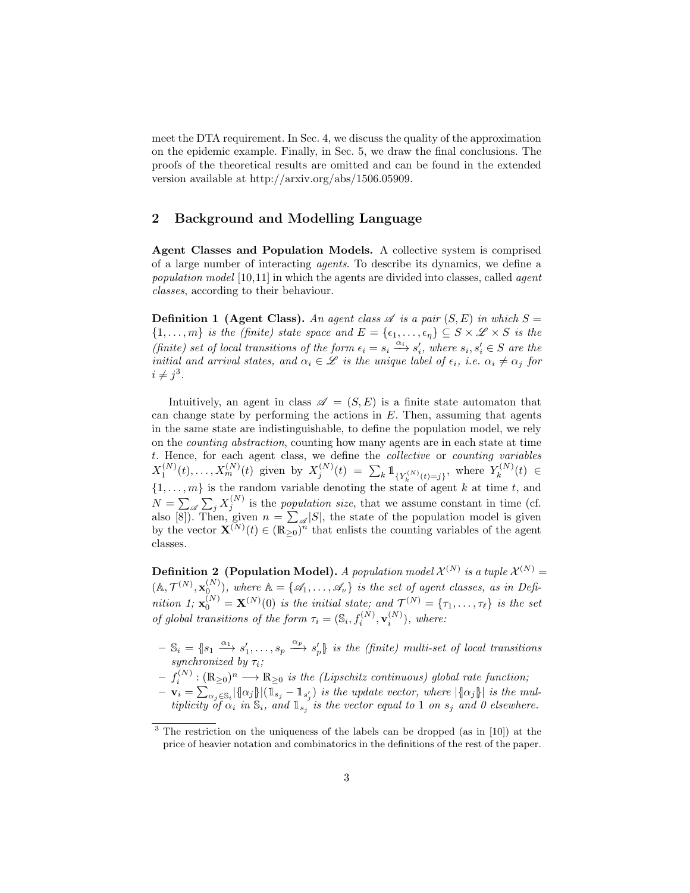meet the DTA requirement. In Sec. 4, we discuss the quality of the approximation on the epidemic example. Finally, in Sec. 5, we draw the final conclusions. The proofs of the theoretical results are omitted and can be found in the extended version available at http://arxiv.org/abs/1506.05909.

## 2 Background and Modelling Language

Agent Classes and Population Models. A collective system is comprised of a large number of interacting agents. To describe its dynamics, we define a population model [10,11] in which the agents are divided into classes, called agent classes, according to their behaviour.

**Definition 1 (Agent Class).** An agent class  $\mathscr A$  is a pair  $(S, E)$  in which  $S =$  $\{1,\ldots,m\}$  is the (finite) state space and  $E = \{\epsilon_1,\ldots,\epsilon_n\} \subseteq S \times \mathscr{L} \times S$  is the (finite) set of local transitions of the form  $\epsilon_i = s_i \xrightarrow{\alpha_i} s'_i$ , where  $s_i, s'_i \in S$  are the initial and arrival states, and  $\alpha_i \in \mathscr{L}$  is the unique label of  $\epsilon_i$ , i.e.  $\alpha_i \neq \alpha_j$  for  $i \neq j^3$ .

Intuitively, an agent in class  $\mathscr{A} = (S, E)$  is a finite state automaton that can change state by performing the actions in  $E$ . Then, assuming that agents in the same state are indistinguishable, to define the population model, we rely on the counting abstraction, counting how many agents are in each state at time t. Hence, for each agent class, we define the collective or counting variables  $X_1^{(N)}(t), \ldots, X_m^{(N)}(t)$  given by  $X_j^{(N)}(t) = \sum_k \mathbb{1}_{\{Y_k^{(N)}(t) = j\}}$ , where  $Y_k^{(N)}$  $\zeta_k^{(N)}(t) \in$  $\{1, \ldots, m\}$  is the random variable denoting the state of agent k at time t, and  $N = \sum_{i} \sum_{j} X_j^{(N)}$  is the population size, that we assume constant in time (cf. also [8]). Then, given  $n = \sum_{\mathscr{A}} |S|$ , the state of the population model is given by the vector  $\mathbf{X}^{(N)}(t) \in (\mathbb{R}_{\geq 0})^n$  that enlists the counting variables of the agent classes.

**Definition 2** (Population Model). A population model  $\mathcal{X}^{(N)}$  is a tuple  $\mathcal{X}^{(N)}$  =  $(\mathbb{A}, \mathcal{T}^{(N)}, \mathbf{x}_0^{(N)})$ , where  $\mathbb{A} = {\mathcal{A}_1, \ldots, \mathcal{A}_\nu}$  is the set of agent classes, as in Definition 1;  $\mathbf{x}_0^{(N)} = \mathbf{X}^{(N)}(0)$  is the initial state; and  $\mathcal{T}^{(N)} = {\tau_1, \ldots, \tau_\ell}$  is the set of global transitions of the form  $\tau_i = (\mathbb{S}_i, f_i^{(N)}, \mathbf{v}_i^{(N)})$ , where:

- $-\mathbb{S}_i = \{s_1 \stackrel{\alpha_1}{\longrightarrow} s_1', \ldots, s_p \stackrel{\alpha_p}{\longrightarrow} s_p'\}$  is the (finite) multi-set of local transitions synchronized by  $\tau_i$ ;
- $f_i^{(N)} : (\mathbb{R}_{\geq 0})^n \longrightarrow \mathbb{R}_{\geq 0}$  is the (Lipschitz continuous) global rate function;
- $-\mathbf{v}_i = \sum_{\alpha_j \in \mathbb{S}_i} |\{\alpha_j\}| (\mathbb{1}_{s_j} \mathbb{1}_{s'_j})$  is the update vector, where  $|\{\alpha_j\}\|$  is the multiplicity of  $\alpha_i$  in  $\mathbb{S}_i$ , and  $\mathbb{1}_{s_j}$  is the vector equal to 1 on  $s_j$  and 0 elsewhere.

<sup>3</sup> The restriction on the uniqueness of the labels can be dropped (as in [10]) at the price of heavier notation and combinatorics in the definitions of the rest of the paper.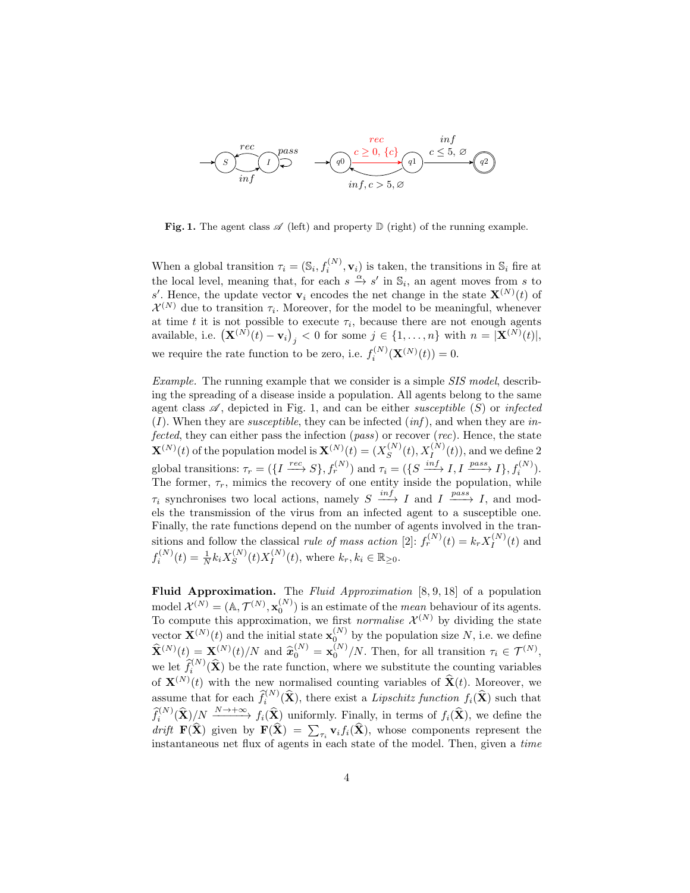

**Fig. 1.** The agent class  $\mathscr A$  (left) and property  $\mathbb D$  (right) of the running example.

When a global transition  $\tau_i = (\mathbb{S}_i, f_i^{(N)}, \mathbf{v}_i)$  is taken, the transitions in  $\mathbb{S}_i$  fire at the local level, meaning that, for each  $s \stackrel{\alpha}{\to} s'$  in  $\mathbb{S}_i$ , an agent moves from s to s'. Hence, the update vector  $\mathbf{v}_i$  encodes the net change in the state  $\mathbf{X}^{(N)}(t)$  of  $\mathcal{X}^{(N)}$  due to transition  $\tau_i$ . Moreover, for the model to be meaningful, whenever at time t it is not possible to execute  $\tau_i$ , because there are not enough agents available, i.e.  $(\mathbf{X}^{(N)}(t) - \mathbf{v}_i)_j < 0$  for some  $j \in \{1, ..., n\}$  with  $n = |\mathbf{X}^{(N)}(t)|$ , we require the rate function to be zero, i.e.  $f_i^{(N)}(\mathbf{X}^{(N)}(t)) = 0$ .

Example. The running example that we consider is a simple SIS model, describing the spreading of a disease inside a population. All agents belong to the same agent class  $\mathscr A$ , depicted in Fig. 1, and can be either *susceptible* (S) or *infected*  $(I)$ . When they are *susceptible*, they can be infected  $(inf)$ , and when they are infected, they can either pass the infection (pass) or recover (rec). Hence, the state  $\mathbf{X}^{(N)}(t)$  of the population model is  $\mathbf{X}^{(N)}(t) = (X_{\mathcal{S}}^{(N)})$  $S^{(N)}(t), X_I^{(N)}(t)$ , and we define 2 global transitions:  $\tau_r = (\lbrace I \xrightarrow{rec} S \rbrace, f_r^{(N)})$  and  $\tau_i = (\lbrace S \xrightarrow{inf} I, I \xrightarrow{pass} I \rbrace, f_i^{(N)} )$ . The former,  $\tau_r$ , mimics the recovery of one entity inside the population, while  $\tau_i$  synchronises two local actions, namely  $S \xrightarrow{inf} I$  and  $I \xrightarrow{pass} I$ , and models the transmission of the virus from an infected agent to a susceptible one. Finally, the rate functions depend on the number of agents involved in the transitions and follow the classical *rule of mass action* [2]:  $f_r^{(N)}(t) = k_r X_I^{(N)}$  $I^{(N)}(t)$  and  $f_i^{(N)}(t) = \frac{1}{N} k_i X_S^{(N)}$  $S^{(N)}(t)X_I^{(N)}$  $I_I^{(N)}(t)$ , where  $k_r, k_i \in \mathbb{R}_{\geq 0}$ .

Fluid Approximation. The Fluid Approximation [8, 9, 18] of a population model  $\mathcal{X}^{(N)} = (A, \mathcal{T}^{(N)}, \mathbf{x}_0^{(N)})$  is an estimate of the *mean* behaviour of its agents. To compute this approximation, we first *normalise*  $\mathcal{X}^{(N)}$  by dividing the state vector  $\mathbf{X}^{(N)}(t)$  and the initial state  $\mathbf{x}_0^{(N)}$  by the population size N, i.e. we define  $\widehat{\mathbf{X}}^{(N)}(t) = \mathbf{X}^{(N)}(t)/N$  and  $\widehat{\mathbf{x}}_0^{(N)} = \mathbf{x}_0^{(N)}/N$ . Then, for all transition  $\tau_i \in \mathcal{T}^{(N)}$ , we let  $\hat{f}_i^{(N)}(\hat{\mathbf{X}})$  be the rate function, where we substitute the counting variables of  $\mathbf{X}^{(N)}(t)$  with the new normalised counting variables of  $\hat{\mathbf{X}}(t)$ . Moreover, we assume that for each  $\hat{f}_i^{(N)}(\hat{\mathbf{X}})$ , there exist a Lipschitz function  $f_i(\hat{\mathbf{X}})$  such that  $\widehat{f}_i^{(N)}(\widehat{\mathbf{X}})$   $\underset{\sim}{N} \xrightarrow{N \to +\infty} f_i(\widehat{\mathbf{X}})$  uniformly. Finally, in terms of  $f_i(\widehat{\mathbf{X}})$ , we define the drift  $\mathbf{F}(\mathbf{X})$  given by  $\mathbf{F}(\mathbf{X}) = \sum_{\tau_i} \mathbf{v}_i f_i(\mathbf{X})$ , whose components represent the instantaneous net flux of agents in each state of the model. Then, given a time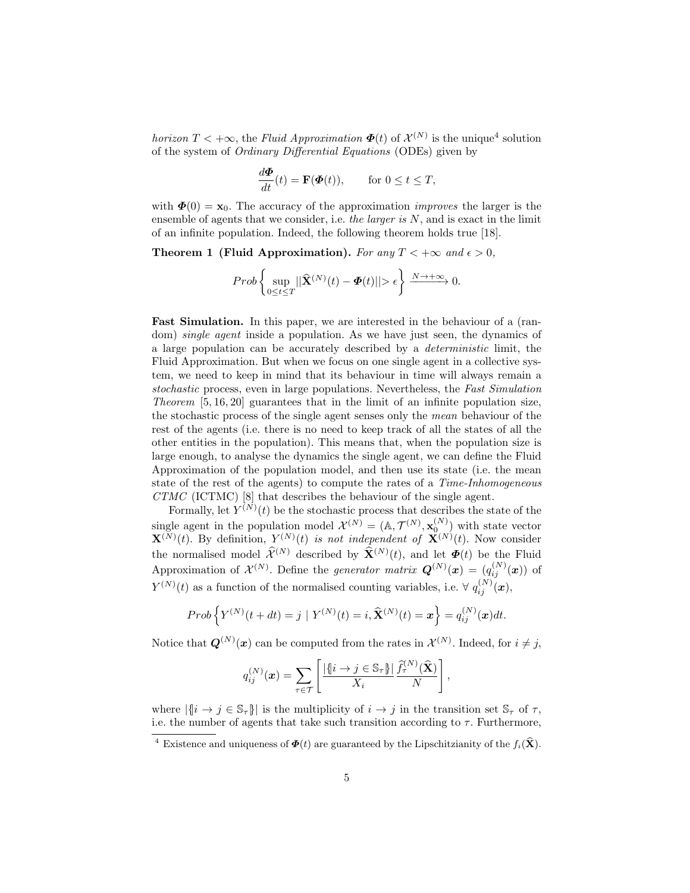horizon  $T < +\infty$ , the Fluid Approximation  $\Phi(t)$  of  $\mathcal{X}^{(N)}$  is the unique<sup>4</sup> solution of the system of Ordinary Differential Equations (ODEs) given by

$$
\frac{d\boldsymbol{\Phi}}{dt}(t) = \mathbf{F}(\boldsymbol{\Phi}(t)), \quad \text{for } 0 \le t \le T,
$$

with  $\mathbf{\Phi}(0) = \mathbf{x}_0$ . The accuracy of the approximation *improves* the larger is the ensemble of agents that we consider, i.e. the larger is  $N$ , and is exact in the limit of an infinite population. Indeed, the following theorem holds true [18].

Theorem 1 (Fluid Approximation). For any  $T < +\infty$  and  $\epsilon > 0$ ,

$$
Prob\left\{\sup_{0\leq t\leq T}||\widehat{\mathbf{X}}^{(N)}(t)-\pmb\varPhi(t)||>\epsilon\right\}\xrightarrow{N\to+\infty}0.
$$

Fast Simulation. In this paper, we are interested in the behaviour of a (random) *single agent* inside a population. As we have just seen, the dynamics of a large population can be accurately described by a deterministic limit, the Fluid Approximation. But when we focus on one single agent in a collective system, we need to keep in mind that its behaviour in time will always remain a stochastic process, even in large populations. Nevertheless, the Fast Simulation Theorem [5, 16, 20] guarantees that in the limit of an infinite population size, the stochastic process of the single agent senses only the mean behaviour of the rest of the agents (i.e. there is no need to keep track of all the states of all the other entities in the population). This means that, when the population size is large enough, to analyse the dynamics the single agent, we can define the Fluid Approximation of the population model, and then use its state (i.e. the mean state of the rest of the agents) to compute the rates of a Time-Inhomogeneous CTMC (ICTMC) [8] that describes the behaviour of the single agent.

Formally, let  $Y^{(N)}(t)$  be the stochastic process that describes the state of the single agent in the population model  $\mathcal{X}^{(N)} = (\mathbb{A}, \mathcal{T}^{(N)}, \mathbf{x}_{0}^{(N)})$  with state vector  $\mathbf{X}^{(N)}(t)$ . By definition,  $Y^{(N)}(t)$  is not independent of  $\mathbf{X}^{(N)}(t)$ . Now consider the normalised model  $\hat{\mathcal{X}}^{(N)}$  described by  $\hat{\mathbf{X}}^{(N)}(t)$ , and let  $\mathbf{\Phi}(t)$  be the Fluid Approximation of  $\mathcal{X}^{(N)}$ . Define the *generator matrix*  $\mathbf{Q}^{(N)}(\boldsymbol{x}) = (q_{ij}^{(N)}(\boldsymbol{x}))$  of  $Y^{(N)}(t)$  as a function of the normalised counting variables, i.e.  $\forall q_{ij}^{(N)}(\boldsymbol{x}),$ 

$$
Prob\left\{Y^{(N)}(t+dt)=j\mid Y^{(N)}(t)=i,\widehat{\mathbf{X}}^{(N)}(t)=\mathbf{x}\right\}=q_{ij}^{(N)}(\mathbf{x})dt.
$$

Notice that  $\mathbf{Q}^{(N)}(\mathbf{x})$  can be computed from the rates in  $\mathcal{X}^{(N)}$ . Indeed, for  $i \neq j$ ,

$$
q_{ij}^{(N)}(\boldsymbol{x}) = \sum_{\tau \in \mathcal{T}} \left[ \frac{|\{i \to j \in \mathbb{S}_{\tau}\}|}{X_i} \frac{\widehat{f}_{\tau}^{(N)}(\widehat{\mathbf{X}})}{N} \right],
$$

where  $|\{i \to j \in \mathbb{S}_{\tau}\}|$  is the multiplicity of  $i \to j$  in the transition set  $\mathbb{S}_{\tau}$  of  $\tau$ , i.e. the number of agents that take such transition according to  $\tau$ . Furthermore,

<sup>&</sup>lt;sup>4</sup> Existence and uniqueness of  $\Phi(t)$  are guaranteed by the Lipschitzianity of the  $f_i(\hat{\mathbf{X}})$ .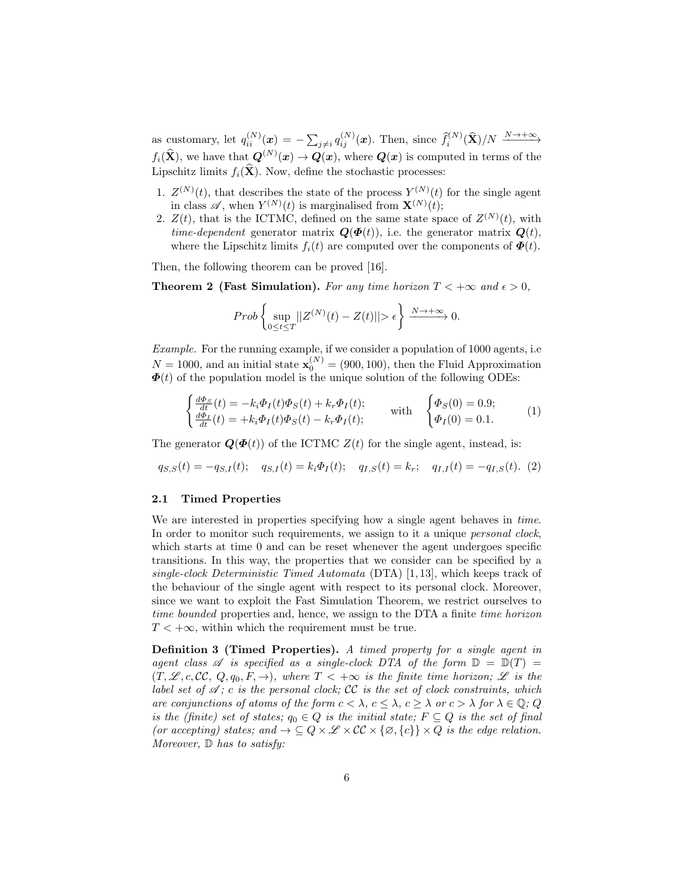as customary, let  $q_{ii}^{(N)}(\boldsymbol{x}) = -\sum_{j\neq i} q_{ij}^{(N)}(\boldsymbol{x})$ . Then, since  $\hat{f}_i^{(N)}(\widehat{\mathbf{X}})/N \xrightarrow{N\to+\infty}$  $f_i(\hat{\mathbf{X}})$ , we have that  $\mathbf{Q}^{(N)}(x) \to \mathbf{Q}(x)$ , where  $\mathbf{Q}(x)$  is computed in terms of the Lipschitz limits  $f_i(\hat{\mathbf{X}})$ . Now, define the stochastic processes:

- 1.  $Z^{(N)}(t)$ , that describes the state of the process  $Y^{(N)}(t)$  for the single agent in class  $\mathscr{A}$ , when  $Y^{(N)}(t)$  is marginalised from  $\mathbf{X}^{(N)}(t)$ ;
- 2.  $Z(t)$ , that is the ICTMC, defined on the same state space of  $Z^{(N)}(t)$ , with *time-dependent* generator matrix  $\mathbf{Q}(\mathbf{\Phi}(t))$ , i.e. the generator matrix  $\mathbf{Q}(t)$ , where the Lipschitz limits  $f_i(t)$  are computed over the components of  $\boldsymbol{\Phi}(t)$ .

Then, the following theorem can be proved [16].

**Theorem 2 (Fast Simulation).** For any time horizon  $T < +\infty$  and  $\epsilon > 0$ .

$$
Prob\left\{\sup_{0\leq t\leq T}||Z^{(N)}(t)-Z(t)||>\epsilon\right\}\xrightarrow{N\to+\infty}0.
$$

Example. For the running example, if we consider a population of 1000 agents, i.e  $N = 1000$ , and an initial state  $\mathbf{x}_0^{(N)} = (900, 100)$ , then the Fluid Approximation  $\Phi(t)$  of the population model is the unique solution of the following ODEs:

$$
\begin{cases} \frac{d\Phi_S}{dt}(t) = -k_i \Phi_I(t) \Phi_S(t) + k_r \Phi_I(t);\\ \frac{d\Phi_I}{dt}(t) = +k_i \Phi_I(t) \Phi_S(t) - k_r \Phi_I(t); \end{cases} \text{ with } \begin{cases} \Phi_S(0) = 0.9;\\ \Phi_I(0) = 0.1. \end{cases} (1)
$$

The generator  $\mathbf{Q}(\mathbf{\Phi}(t))$  of the ICTMC  $Z(t)$  for the single agent, instead, is:

$$
q_{S,S}(t) = -q_{S,I}(t); \quad q_{S,I}(t) = k_i \Phi_I(t); \quad q_{I,S}(t) = k_r; \quad q_{I,I}(t) = -q_{I,S}(t). \tag{2}
$$

#### 2.1 Timed Properties

We are interested in properties specifying how a single agent behaves in time. In order to monitor such requirements, we assign to it a unique *personal clock*, which starts at time 0 and can be reset whenever the agent undergoes specific transitions. In this way, the properties that we consider can be specified by a single-clock Deterministic Timed Automata (DTA) [1, 13], which keeps track of the behaviour of the single agent with respect to its personal clock. Moreover, since we want to exploit the Fast Simulation Theorem, we restrict ourselves to time bounded properties and, hence, we assign to the DTA a finite time horizon  $T < +\infty$ , within which the requirement must be true.

Definition 3 (Timed Properties). A timed property for a single agent in agent class  $\mathscr A$  is specified as a single-clock DTA of the form  $\mathbb D = \mathbb D(T) =$  $(T, \mathcal{L}, c, CC, Q, q_0, F, \rightarrow)$ , where  $T < +\infty$  is the finite time horizon;  $\mathcal{L}$  is the label set of  $\mathscr{A}$ ; c is the personal clock; CC is the set of clock constraints, which are conjunctions of atoms of the form  $c < \lambda$ ,  $c \leq \lambda$ ,  $c \geq \lambda$  or  $c > \lambda$  for  $\lambda \in \mathbb{Q}$ ; Q is the (finite) set of states;  $q_0 \in Q$  is the initial state;  $F \subseteq Q$  is the set of final (or accepting) states; and  $\rightarrow \subseteq Q \times \mathcal{L} \times CC \times \{\varnothing, \{c\}\} \times Q$  is the edge relation. Moreover,  $\mathbb{D}$  has to satisfy: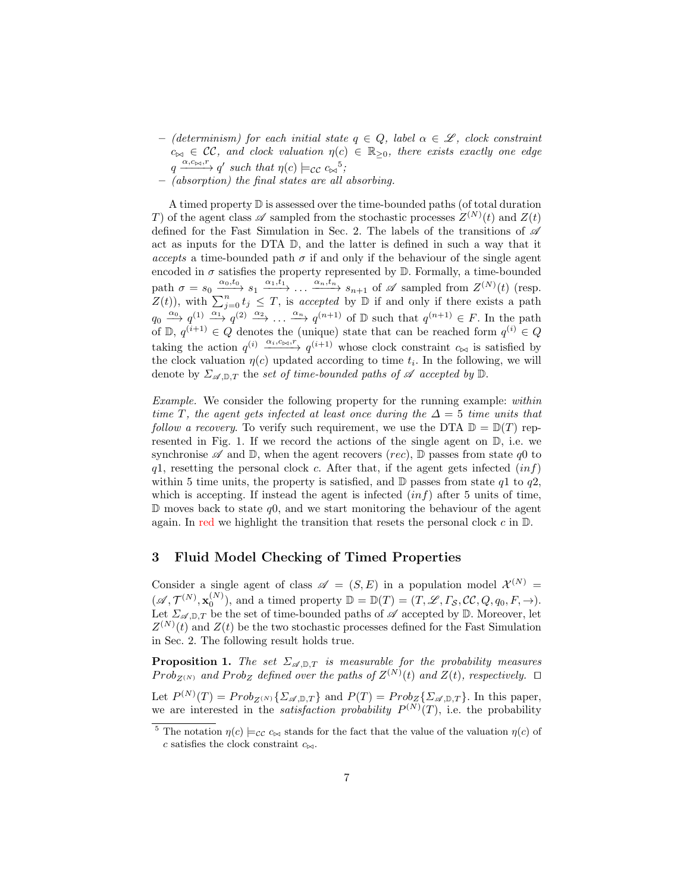- (determinism) for each initial state  $q \in Q$ , label  $\alpha \in \mathscr{L}$ , clock constraint  $c_{\bowtie} \in \mathcal{CC}$ , and clock valuation  $\eta(c) \in \mathbb{R}_{\geq 0}$ , there exists exactly one edge  $q \xrightarrow{\alpha, c_{\bowtie}, r} q'$  such that  $\eta(c) \models_{\mathcal{CC}} c_{\bowtie}^{-5}$ ;
- (absorption) the final states are all absorbing.

A timed property D is assessed over the time-bounded paths (of total duration T) of the agent class  $\mathscr A$  sampled from the stochastic processes  $Z^{(N)}(t)$  and  $Z(t)$ defined for the Fast Simulation in Sec. 2. The labels of the transitions of  $\mathscr A$ act as inputs for the DTA  $\mathbb{D}$ , and the latter is defined in such a way that it accepts a time-bounded path  $\sigma$  if and only if the behaviour of the single agent encoded in  $\sigma$  satisfies the property represented by  $\mathbb D$ . Formally, a time-bounded path  $\sigma = s_0 \xrightarrow{\alpha_0, t_0} s_1 \xrightarrow{\alpha_1, t_1} \dots \xrightarrow{\alpha_n, t_n} s_{n+1}$  of  $\mathscr A$  sampled from  $Z^{(N)}(t)$  (resp.  $Z(t)$ , with  $\sum_{j=0}^{n} t_j \leq T$ , is accepted by  $\mathbb{D}$  if and only if there exists a path  $q_0 \stackrel{\alpha_0}{\longrightarrow} q^{(1)} \stackrel{\alpha_1}{\longrightarrow} q^{(2)} \stackrel{\alpha_2}{\longrightarrow} \ldots \stackrel{\alpha_n}{\longrightarrow} q^{(n+1)}$  of  $\mathbb D$  such that  $q^{(n+1)} \in F$ . In the path of  $\mathbb{D}, q^{(i+1)} \in Q$  denotes the (unique) state that can be reached form  $q^{(i)} \in Q$ taking the action  $q^{(i)} \xrightarrow{\alpha_i, c_{\bowtie}, r} q^{(i+1)}$  whose clock constraint  $c_{\bowtie}$  is satisfied by the clock valuation  $\eta(c)$  updated according to time  $t_i$ . In the following, we will denote by  $\Sigma_{\mathscr{A},\mathbb{D},T}$  the set of time-bounded paths of  $\mathscr A$  accepted by  $\mathbb{D}$ .

Example. We consider the following property for the running example: within time T, the agent gets infected at least once during the  $\Delta = 5$  time units that follow a recovery. To verify such requirement, we use the DTA  $\mathbb{D} = \mathbb{D}(T)$  represented in Fig. 1. If we record the actions of the single agent on D, i.e. we synchronise  $\mathscr A$  and  $\mathbb D$ , when the agent recovers (rec),  $\mathbb D$  passes from state q0 to  $q1$ , resetting the personal clock c. After that, if the agent gets infected  $(inf)$ within 5 time units, the property is satisfied, and  $\mathbb D$  passes from state q1 to q2, which is accepting. If instead the agent is infected  $(inf)$  after 5 units of time,  $\mathbb D$  moves back to state q0, and we start monitoring the behaviour of the agent again. In red we highlight the transition that resets the personal clock  $c$  in  $\mathbb{D}$ .

# 3 Fluid Model Checking of Timed Properties

Consider a single agent of class  $\mathscr{A} = (S, E)$  in a population model  $\mathcal{X}^{(N)} =$  $(\mathscr{A}, \mathcal{T}^{(N)}, \mathbf{x}_0^{(N)})$ , and a timed property  $\mathbb{D} = \mathbb{D}(T) = (T, \mathscr{L}, \Gamma_{\mathcal{S}}, \mathcal{CC}, Q, q_0, F, \to)$ . Let  $\Sigma_{\mathscr{A},\mathbb{D},T}$  be the set of time-bounded paths of  $\mathscr A$  accepted by  $\mathbb D$ . Moreover, let  $Z^{(N)}(t)$  and  $Z(t)$  be the two stochastic processes defined for the Fast Simulation in Sec. 2. The following result holds true.

**Proposition 1.** The set  $\Sigma_{\mathscr{A},\mathbb{D},T}$  is measurable for the probability measures  $Prob_{Z^{(N)}}$  and  $Prob_Z$  defined over the paths of  $Z^{(N)}(t)$  and  $Z(t)$ , respectively.  $\Box$ 

Let  $P^{(N)}(T) = Prob_{Z^{(N)}}\{\Sigma_{\mathscr{A}, \mathbb{D}, T}\}\$  and  $P(T) = Prob_{Z}\{\Sigma_{\mathscr{A}, \mathbb{D}, T}\}\.$  In this paper, we are interested in the *satisfaction probability*  $P^{(N)}(T)$ , i.e. the probability

<sup>&</sup>lt;sup>5</sup> The notation  $\eta(c) \models_{\mathcal{CC}} c_{\bowtie}$  stands for the fact that the value of the valuation  $\eta(c)$  of c satisfies the clock constraint  $c_{\bowtie}$ .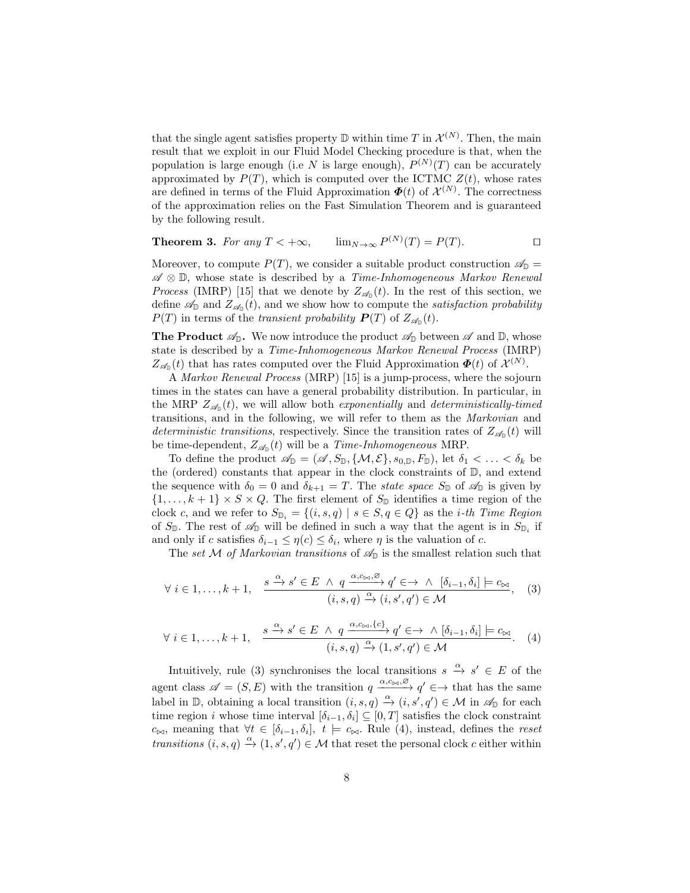that the single agent satisfies property  $\mathbb D$  within time T in  $\mathcal X^{(N)}$ . Then, the main result that we exploit in our Fluid Model Checking procedure is that, when the population is large enough (i.e N is large enough),  $P^{(N)}(T)$  can be accurately approximated by  $P(T)$ , which is computed over the ICTMC  $Z(t)$ , whose rates are defined in terms of the Fluid Approximation  $\boldsymbol{\Phi}(t)$  of  $\mathcal{X}^{(N)}$ . The correctness of the approximation relies on the Fast Simulation Theorem and is guaranteed by the following result.

**Theorem 3.** For any 
$$
T < +\infty
$$
,  $\lim_{N \to \infty} P^{(N)}(T) = P(T)$ .

Moreover, to compute  $P(T)$ , we consider a suitable product construction  $\mathscr{A}_{\mathbb{D}} =$ A ⊗ D, whose state is described by a Time-Inhomogeneous Markov Renewal *Process* (IMRP) [15] that we denote by  $Z_{\mathscr{A}_{D}}(t)$ . In the rest of this section, we define  $\mathscr{A}_{\mathbb{D}}$  and  $Z_{\mathscr{A}_{\mathbb{D}}}(t)$ , and we show how to compute the *satisfaction probability*  $P(T)$  in terms of the transient probability  $P(T)$  of  $Z_{\mathscr{A}_{\mathbb{D}}}(t)$ .

**The Product**  $\mathcal{A}_{\mathbb{D}}$ . We now introduce the product  $\mathcal{A}_{\mathbb{D}}$  between  $\mathcal{A}$  and  $\mathbb{D}$ , whose state is described by a Time-Inhomogeneous Markov Renewal Process (IMRP)  $Z_{\mathscr{A}_{\mathbb{D}}}(t)$  that has rates computed over the Fluid Approximation  $\boldsymbol{\Phi}(t)$  of  $\mathcal{X}^{(N)}$ .

A Markov Renewal Process (MRP) [15] is a jump-process, where the sojourn times in the states can have a general probability distribution. In particular, in the MRP  $Z_{\mathscr{A}_{D}}(t)$ , we will allow both exponentially and deterministically-timed transitions, and in the following, we will refer to them as the Markovian and deterministic transitions, respectively. Since the transition rates of  $Z_{\mathscr{A}_{\mathbb{D}}}(t)$  will be time-dependent,  $Z_{\mathscr{A}_{\mathbb{D}}}(t)$  will be a *Time-Inhomogeneous* MRP.

To define the product  $\mathscr{A}_{\mathbb{D}} = (\mathscr{A}, S_{\mathbb{D}}, \{\mathcal{M}, \mathcal{E}\}, s_{0,\mathbb{D}}, F_{\mathbb{D}}),$  let  $\delta_1 < \ldots < \delta_k$  be the (ordered) constants that appear in the clock constraints of  $\mathbb{D}$ , and extend the sequence with  $\delta_0 = 0$  and  $\delta_{k+1} = T$ . The state space  $S_{\mathbb{D}}$  of  $\mathscr{A}_{\mathbb{D}}$  is given by  $\{1, \ldots, k+1\} \times S \times Q$ . The first element of  $S_{\mathbb{D}}$  identifies a time region of the clock c, and we refer to  $S_{\mathbb{D}_i} = \{(i, s, q) \mid s \in S, q \in Q\}$  as the *i*-th Time Region of  $S_{\mathbb{D}}$ . The rest of  $\mathscr{A}_{\mathbb{D}}$  will be defined in such a way that the agent is in  $S_{\mathbb{D}_i}$  if and only if c satisfies  $\delta_{i-1} \leq \eta(c) \leq \delta_i$ , where  $\eta$  is the valuation of c.

The set M of Markovian transitions of  $\mathscr{A}_{\mathbb{D}}$  is the smallest relation such that

$$
\forall i \in 1, ..., k+1, \quad \frac{s \xrightarrow{\alpha} s' \in E \land q \xrightarrow{\alpha, c_{\bowtie}, \varnothing} q' \in \to \land [\delta_{i-1}, \delta_i] \models c_{\bowtie}, \quad (3)
$$

$$
(i, s, q) \xrightarrow{\alpha} (i, s', q') \in \mathcal{M}
$$

$$
\forall i \in 1, \dots, k+1, \quad \frac{s \xrightarrow{\alpha} s' \in E \land q \xrightarrow{\alpha, c \bowtie, \{c\}} q' \in \to \land [\delta_{i-1}, \delta_i] \models c_{\bowtie} \tag{4}
$$
\n
$$
(i, s, q) \xrightarrow{\alpha} (1, s', q') \in \mathcal{M}
$$

Intuitively, rule (3) synchronises the local transitions  $s \stackrel{\alpha}{\to} s' \in E$  of the agent class  $\mathscr{A} = (S, E)$  with the transition  $q \xrightarrow{\alpha, c_{\bowtie}, \varnothing} q' \in \rightarrow$  that has the same label in D, obtaining a local transition  $(i, s, q) \stackrel{\alpha}{\rightarrow} (i, s', q') \in \mathcal{M}$  in  $\mathscr{A}_{\mathbb{D}}$  for each time region *i* whose time interval  $[\delta_{i-1}, \delta_i] \subseteq [0, T]$  satisfies the clock constraint  $c_{\bowtie}$ , meaning that  $\forall t \in [\delta_{i-1}, \delta_i], t \models c_{\bowtie}$ . Rule (4), instead, defines the reset transitions  $(i, s, q) \stackrel{\alpha}{\rightarrow} (1, s', q') \in \mathcal{M}$  that reset the personal clock c either within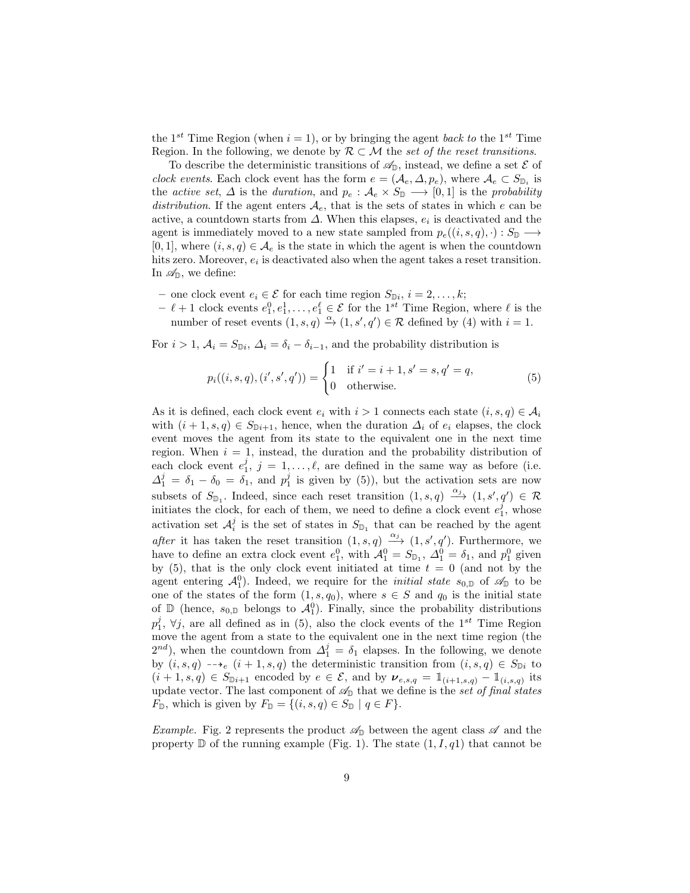the 1<sup>st</sup> Time Region (when  $i = 1$ ), or by bringing the agent back to the 1<sup>st</sup> Time Region. In the following, we denote by  $\mathcal{R} \subset \mathcal{M}$  the set of the reset transitions.

To describe the deterministic transitions of  $\mathscr{A}_{\mathbb{D}}$ , instead, we define a set  $\mathscr{E}$  of clock events. Each clock event has the form  $e = (\mathcal{A}_e, \Delta, p_e)$ , where  $\mathcal{A}_e \subset S_{\mathbb{D}_i}$  is the active set,  $\Delta$  is the duration, and  $p_e : A_e \times S_{\mathbb{D}} \longrightarrow [0,1]$  is the probability distribution. If the agent enters  $A_e$ , that is the sets of states in which e can be active, a countdown starts from  $\Delta$ . When this elapses,  $e_i$  is deactivated and the agent is immediately moved to a new state sampled from  $p_e((i, s, q), \cdot): S_{\mathbb{D}} \longrightarrow$  $[0, 1]$ , where  $(i, s, q) \in \mathcal{A}_e$  is the state in which the agent is when the countdown hits zero. Moreover,  $e_i$  is deactivated also when the agent takes a reset transition. In  $\mathscr{A}_{\mathbb{D}}$ , we define:

- one clock event  $e_i \in \mathcal{E}$  for each time region  $S_{\mathbb{D}i}$ ,  $i = 2, \ldots, k$ ;
- $\ell + 1$  clock events  $e_1^0, e_1^1, \ldots, e_1^{\ell} \in \mathcal{E}$  for the 1<sup>st</sup> Time Region, where  $\ell$  is the number of reset events  $(1, s, q) \stackrel{\alpha}{\rightarrow} (1, s', q') \in \mathcal{R}$  defined by (4) with  $i = 1$ .

For  $i > 1$ ,  $A_i = S_{\mathbb{D}i}$ ,  $\Delta_i = \delta_i - \delta_{i-1}$ , and the probability distribution is

$$
p_i((i, s, q), (i', s', q')) = \begin{cases} 1 & \text{if } i' = i + 1, s' = s, q' = q, \\ 0 & \text{otherwise.} \end{cases}
$$
(5)

As it is defined, each clock event  $e_i$  with  $i > 1$  connects each state  $(i, s, q) \in A_i$ with  $(i + 1, s, q) \in S_{\mathbb{D}i+1}$ , hence, when the duration  $\Delta_i$  of  $e_i$  elapses, the clock event moves the agent from its state to the equivalent one in the next time region. When  $i = 1$ , instead, the duration and the probability distribution of each clock event  $e_1^j$ ,  $j = 1, ..., \ell$ , are defined in the same way as before (i.e.  $\Delta_1^j = \delta_1 - \delta_0 = \delta_1$ , and  $p_1^j$  is given by (5)), but the activation sets are now subsets of  $S_{\mathbb{D}_1}$ . Indeed, since each reset transition  $(1, s, q) \xrightarrow{\alpha_j} (1, s', q') \in \mathcal{R}$ initiates the clock, for each of them, we need to define a clock event  $e_1^j$ , whose activation set  $\mathcal{A}_i^j$  is the set of states in  $S_{\mathbb{D}_1}$  that can be reached by the agent after it has taken the reset transition  $(1, s, q) \xrightarrow{\alpha_j} (1, s', q')$ . Furthermore, we have to define an extra clock event  $e_1^0$ , with  $\mathcal{A}_1^0 = S_{\mathbb{D}_1}$ ,  $\Delta_1^0 = \delta_1$ , and  $p_1^0$  given by  $(5)$ , that is the only clock event initiated at time  $t = 0$  (and not by the agent entering  $\mathcal{A}_1^0$ ). Indeed, we require for the *initial state*  $s_{0,\mathbb{D}}$  of  $\mathscr{A}_{\mathbb{D}}$  to be one of the states of the form  $(1, s, q_0)$ , where  $s \in S$  and  $q_0$  is the initial state of  $\mathbb{D}$  (hence,  $s_{0,\mathbb{D}}$  belongs to  $\mathcal{A}_1^0$ ). Finally, since the probability distributions  $p_1^j$ ,  $\forall j$ , are all defined as in (5), also the clock events of the 1<sup>st</sup> Time Region move the agent from a state to the equivalent one in the next time region (the  $2^{nd}$ ), when the countdown from  $\Delta_1^j = \delta_1$  elapses. In the following, we denote by  $(i, s, q) \dashrightarrow_e (i + 1, s, q)$  the deterministic transition from  $(i, s, q) \in S_{\mathbb{D}i}$  to  $(i+1, s, q) \in S_{\mathbb{D}i+1}$  encoded by  $e \in \mathcal{E}$ , and by  $v_{e,s,q} = \mathbb{1}_{(i+1,s,q)} - \mathbb{1}_{(i,s,q)}$  its update vector. The last component of  $\mathcal{A}_{\mathbb{D}}$  that we define is the set of final states  $F_{\mathbb{D}}$ , which is given by  $F_{\mathbb{D}} = \{(i, s, q) \in S_{\mathbb{D}} \mid q \in F\}.$ 

*Example.* Fig. 2 represents the product  $\mathscr{A}_{\mathbb{D}}$  between the agent class  $\mathscr A$  and the property  $\mathbb D$  of the running example (Fig. 1). The state  $(1, I, q1)$  that cannot be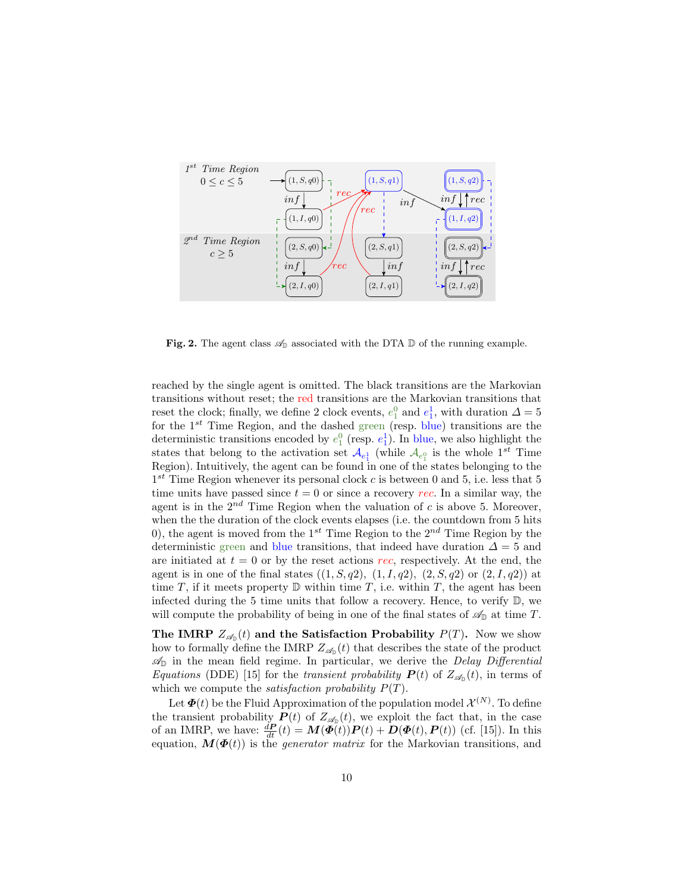

Fig. 2. The agent class  $\mathscr{A}_{\mathbb{D}}$  associated with the DTA  $\mathbb D$  of the running example.

reached by the single agent is omitted. The black transitions are the Markovian transitions without reset; the red transitions are the Markovian transitions that reset the clock; finally, we define 2 clock events,  $e_1^0$  and  $e_1^1$ , with duration  $\Delta = 5$ for the  $1^{st}$  Time Region, and the dashed green (resp. blue) transitions are the deterministic transitions encoded by  $e_1^0$  (resp.  $e_1^1$ ). In blue, we also highlight the states that belong to the activation set  $\mathcal{A}_{e_1^1}$  (while  $\mathcal{A}_{e_1^0}$  is the whole  $1^{st}$  Time Region). Intuitively, the agent can be found in one of the states belonging to the  $1^{st}$  Time Region whenever its personal clock c is between 0 and 5, i.e. less that 5 time units have passed since  $t = 0$  or since a recovery rec. In a similar way, the agent is in the  $2^{nd}$  Time Region when the valuation of c is above 5. Moreover, when the the duration of the clock events elapses (i.e. the countdown from 5 hits 0), the agent is moved from the 1<sup>st</sup> Time Region to the  $2^{nd}$  Time Region by the deterministic green and blue transitions, that indeed have duration  $\Delta = 5$  and are initiated at  $t = 0$  or by the reset actions rec, respectively. At the end, the agent is in one of the final states  $((1, S, q2), (1, I, q2), (2, S, q2)$  or  $(2, I, q2)$  at time T, if it meets property  $\mathbb D$  within time T, i.e. within T, the agent has been infected during the 5 time units that follow a recovery. Hence, to verify  $\mathbb{D}$ , we will compute the probability of being in one of the final states of  $\mathscr{A}_{\mathbb{D}}$  at time T.

The IMRP  $Z_{\mathscr{A}_{\mathbb{D}}}(t)$  and the Satisfaction Probability  $P(T)$ . Now we show how to formally define the IMRP  $Z_{\mathscr{A}_{D}}(t)$  that describes the state of the product  $\mathscr{A}_{\mathbb{D}}$  in the mean field regime. In particular, we derive the Delay Differential Equations (DDE) [15] for the transient probability  $P(t)$  of  $Z_{\mathscr{A}_{\mathbb{D}}}(t)$ , in terms of which we compute the *satisfaction probability*  $P(T)$ .

Let  $\boldsymbol{\Phi}(t)$  be the Fluid Approximation of the population model  $\mathcal{X}^{(N)}$ . To define the transient probability  $P(t)$  of  $Z_{\mathscr{A}_{D}}(t)$ , we exploit the fact that, in the case of an IMRP, we have:  $\frac{d\boldsymbol{P}}{dt}(t) = \boldsymbol{M}(\boldsymbol{\Phi}(t))\boldsymbol{P}(t) + \boldsymbol{D}(\boldsymbol{\Phi}(t), \boldsymbol{P}(t))$  (cf. [15]). In this equation,  $\mathbf{M}(\mathbf{\Phi}(t))$  is the *generator matrix* for the Markovian transitions, and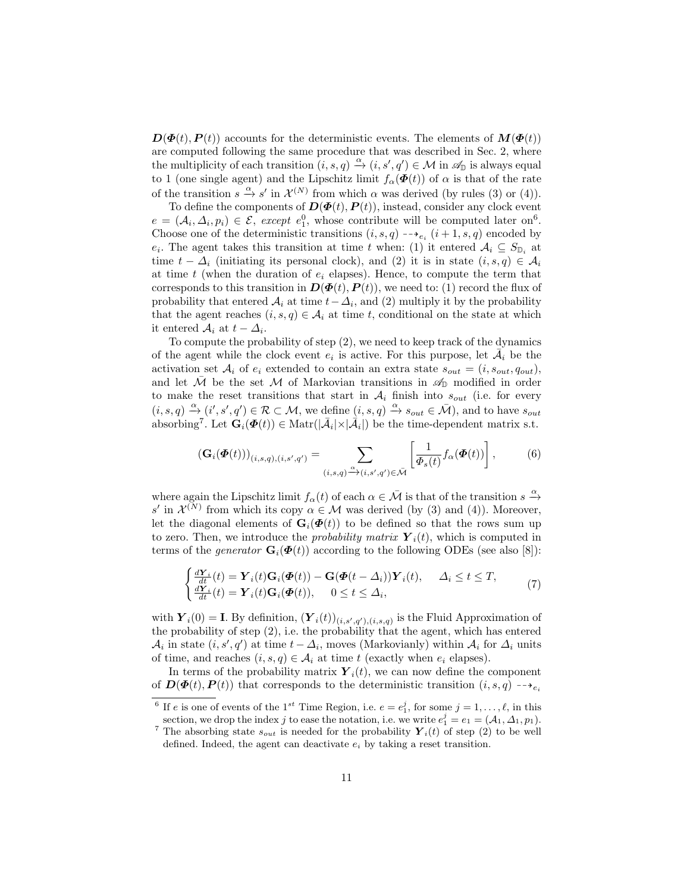$\mathbf{D}(\mathbf{\Phi}(t), \mathbf{P}(t))$  accounts for the deterministic events. The elements of  $\mathbf{M}(\mathbf{\Phi}(t))$ are computed following the same procedure that was described in Sec. 2, where the multiplicity of each transition  $(i, s, q) \stackrel{\alpha}{\rightarrow} (i, s', q') \in \mathcal{M}$  in  $\mathscr{A}_{\mathbb{D}}$  is always equal to 1 (one single agent) and the Lipschitz limit  $f_{\alpha}(\boldsymbol{\Phi}(t))$  of  $\alpha$  is that of the rate of the transition  $s \xrightarrow{\alpha} s'$  in  $\mathcal{X}^{(N)}$  from which  $\alpha$  was derived (by rules (3) or (4)).

To define the components of  $\mathbf{D}(\mathbf{\Phi}(t), \mathbf{P}(t))$ , instead, consider any clock event  $e = (\mathcal{A}_i, \Delta_i, p_i) \in \mathcal{E}$ , except  $e_1^0$ , whose contribute will be computed later on<sup>6</sup>. Choose one of the deterministic transitions  $(i, s, q)$  -- $e_i$   $(i + 1, s, q)$  encoded by  $e_i$ . The agent takes this transition at time t when: (1) it entered  $A_i \subseteq S_{\mathbb{D}_i}$  at time  $t - \Delta_i$  (initiating its personal clock), and (2) it is in state  $(i, s, q) \in \mathcal{A}_i$ at time t (when the duration of  $e_i$  elapses). Hence, to compute the term that corresponds to this transition in  $\mathbf{D}(\mathbf{\Phi}(t), \mathbf{P}(t))$ , we need to: (1) record the flux of probability that entered  $A_i$  at time  $t - \Delta_i$ , and (2) multiply it by the probability that the agent reaches  $(i, s, q) \in A_i$  at time t, conditional on the state at which it entered  $A_i$  at  $t - \Delta_i$ .

To compute the probability of step (2), we need to keep track of the dynamics of the agent while the clock event  $e_i$  is active. For this purpose, let  $\overline{\mathcal{A}}_i$  be the activation set  $A_i$  of  $e_i$  extended to contain an extra state  $s_{out} = (i, s_{out}, q_{out})$ , and let  $\overline{\mathcal{M}}$  be the set  $\mathcal M$  of Markovian transitions in  $\mathscr A_{\mathbb{D}}$  modified in order to make the reset transitions that start in  $A_i$  finish into  $s_{out}$  (i.e. for every  $(i, s, q) \stackrel{\alpha}{\rightarrow} (i', s', q') \in \mathcal{R} \subset \mathcal{M}$ , we define  $(i, s, q) \stackrel{\alpha}{\rightarrow} s_{out} \in \overline{\mathcal{M}}$ ), and to have  $s_{out}$ absorbing<sup>7</sup>. Let  $\mathbf{G}_i(\boldsymbol{\Phi}(t)) \in \text{Matr}(|\mathcal{A}_i| \times |\mathcal{A}_i|)$  be the time-dependent matrix s.t.

$$
\left(\mathbf{G}_i(\boldsymbol{\Phi}(t))\right)_{(i,s,q),(i,s',q')} = \sum_{(i,s,q)\stackrel{\alpha}{\longrightarrow}(i,s',q')\in\bar{\mathcal{M}}}\left[\frac{1}{\varPhi_s(t)}f_\alpha(\boldsymbol{\Phi}(t))\right],\tag{6}
$$

where again the Lipschitz limit  $f_\alpha(t)$  of each  $\alpha \in \bar{\mathcal{M}}$  is that of the transition  $s \stackrel{\alpha}{\rightarrow}$ s' in  $\mathcal{X}^{(N)}$  from which its copy  $\alpha \in \mathcal{M}$  was derived (by (3) and (4)). Moreover, let the diagonal elements of  $\mathbf{G}_i(\boldsymbol{\Phi}(t))$  to be defined so that the rows sum up to zero. Then, we introduce the *probability matrix*  $\boldsymbol{Y}_i(t)$ , which is computed in terms of the generator  $\mathbf{G}_i(\boldsymbol{\Phi}(t))$  according to the following ODEs (see also [8]):

$$
\begin{cases}\n\frac{d\mathbf{Y}_i}{dt}(t) = \mathbf{Y}_i(t)\mathbf{G}_i(\boldsymbol{\Phi}(t)) - \mathbf{G}(\boldsymbol{\Phi}(t-\Delta_i))\mathbf{Y}_i(t), & \Delta_i \le t \le T, \\
\frac{d\mathbf{Y}_i}{dt}(t) = \mathbf{Y}_i(t)\mathbf{G}_i(\boldsymbol{\Phi}(t)), & 0 \le t \le \Delta_i,\n\end{cases} (7)
$$

with  $\boldsymbol{Y}_i(0) = \mathbf{I}$ . By definition,  $(\boldsymbol{Y}_i(t))_{(i,s',q'),(i,s,q)}$  is the Fluid Approximation of the probability of step (2), i.e. the probability that the agent, which has entered  $\mathcal{A}_i$  in state  $(i, s', q')$  at time  $t - \Delta_i$ , moves (Markovianly) within  $\mathcal{A}_i$  for  $\Delta_i$  units of time, and reaches  $(i, s, q) \in A_i$  at time t (exactly when  $e_i$  elapses).

In terms of the probability matrix  $\boldsymbol{Y}_i(t)$ , we can now define the component of  $\mathbf{D}(\mathbf{\Phi}(t), \mathbf{P}(t))$  that corresponds to the deterministic transition  $(i, s, q) \rightarrow_{e_i}$ 

<sup>&</sup>lt;sup>6</sup> If *e* is one of events of the 1<sup>st</sup> Time Region, i.e.  $e = e_1^j$ , for some  $j = 1, ..., \ell$ , in this section, we drop the index j to ease the notation, i.e. we write  $e_1^j = e_1 = (A_1, \Delta_1, p_1)$ .

<sup>&</sup>lt;sup>7</sup> The absorbing state  $s_{out}$  is needed for the probability  $\boldsymbol{Y}_i(t)$  of step (2) to be well defined. Indeed, the agent can deactivate  $e_i$  by taking a reset transition.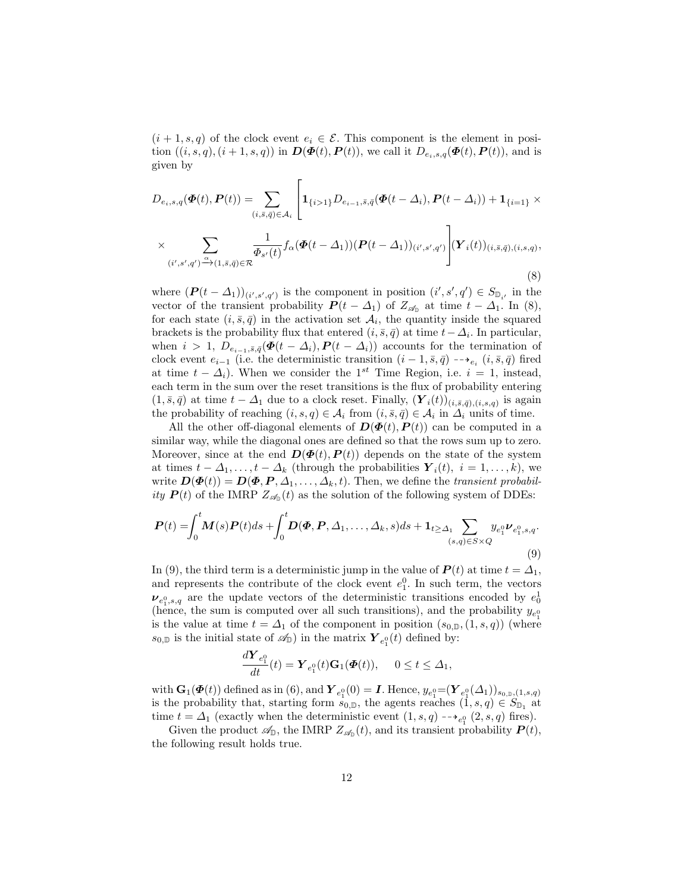$(i + 1, s, q)$  of the clock event  $e_i \in \mathcal{E}$ . This component is the element in position  $((i, s, q), (i + 1, s, q))$  in  $\mathbf{D}(\mathbf{\Phi}(t), \mathbf{P}(t))$ , we call it  $D_{e_i, s, q}(\mathbf{\Phi}(t), \mathbf{P}(t))$ , and is given by

$$
D_{e_i,s,q}(\boldsymbol{\Phi}(t),\boldsymbol{P}(t)) = \sum_{(i,\bar{s},\bar{q})\in\mathcal{A}_i} \left[ \mathbf{1}_{\{i>1\}} D_{e_{i-1},\bar{s},\bar{q}}(\boldsymbol{\Phi}(t-\Delta_i),\boldsymbol{P}(t-\Delta_i)) + \mathbf{1}_{\{i=1\}} \times \right]
$$
  
 
$$
\times \sum_{(i',s',q')\stackrel{\alpha}{\rightarrow}(1,\bar{s},\bar{q})\in\mathcal{R}} \frac{1}{\Phi_{s'}(t)} f_{\alpha}(\boldsymbol{\Phi}(t-\Delta_1)) (\boldsymbol{P}(t-\Delta_1))_{(i',s',q')} \right] (\boldsymbol{Y}_i(t))_{(i,\bar{s},\bar{q}), (i,s,q)},
$$
(8)

where  $(P(t - \Delta_1))_{(i', s', q')}$  is the component in position  $(i', s', q') \in S_{\mathbb{D}_{i'}}$  in the vector of the transient probability  $P(t - \Delta_1)$  of  $Z_{\mathscr{A}_{D}}$  at time  $t - \Delta_1$ . In (8), for each state  $(i, \bar{s}, \bar{q})$  in the activation set  $\mathcal{A}_i$ , the quantity inside the squared brackets is the probability flux that entered  $(i, \bar{s}, \bar{q})$  at time  $t - \Delta_i$ . In particular, when  $i > 1$ ,  $D_{e_{i-1}, \bar{s}, \bar{q}}(\Phi(t - \Delta_i), P(t - \Delta_i))$  accounts for the termination of clock event  $e_{i-1}$  (i.e. the deterministic transition  $(i-1, \bar{s}, \bar{q})$  -→ $e_i$   $(i, \bar{s}, \bar{q})$  fired at time  $t - \Delta_i$ ). When we consider the 1<sup>st</sup> Time Region, i.e.  $i = 1$ , instead, each term in the sum over the reset transitions is the flux of probability entering  $(1, \bar{s}, \bar{q})$  at time  $t - \Delta_1$  due to a clock reset. Finally,  $(\mathbf{Y}_i(t))_{(i, \bar{s}, \bar{q}), (i, s, q)}$  is again the probability of reaching  $(i, s, q) \in A_i$  from  $(i, \overline{s}, \overline{q}) \in A_i$  in  $\Delta_i$  units of time.

All the other off-diagonal elements of  $\mathbf{D}(\mathbf{\Phi}(t), \mathbf{P}(t))$  can be computed in a similar way, while the diagonal ones are defined so that the rows sum up to zero. Moreover, since at the end  $\mathbf{D}(\Phi(t), \mathbf{P}(t))$  depends on the state of the system at times  $t - \Delta_1, \ldots, t - \Delta_k$  (through the probabilities  $\boldsymbol{Y}_i(t), i = 1, \ldots, k$ ), we write  $\mathbf{D}(\mathbf{\Phi}(t)) = \mathbf{D}(\mathbf{\Phi}, P, \Delta_1, \ldots, \Delta_k, t)$ . Then, we define the transient probability  $P(t)$  of the IMRP  $Z_{\mathscr{A}_{\mathbb{D}}}(t)$  as the solution of the following system of DDEs:

$$
\boldsymbol{P}(t) = \int_0^t \boldsymbol{M}(s)\boldsymbol{P}(t)ds + \int_0^t \boldsymbol{D}(\boldsymbol{\Phi}, \boldsymbol{P}, \Delta_1, \dots, \Delta_k, s)ds + \mathbf{1}_{t \ge \Delta_1} \sum_{(s,q) \in S \times Q} y_{e_1^0} \boldsymbol{\nu}_{e_1^0, s, q}.
$$
\n(9)

In (9), the third term is a deterministic jump in the value of  $P(t)$  at time  $t = \Delta_1$ , and represents the contribute of the clock event  $e_1^0$ . In such term, the vectors  $\nu_{e_1^0, s, q}$  are the update vectors of the deterministic transitions encoded by  $e_0^1$ (hence, the sum is computed over all such transitions), and the probability  $y_{e_1^0}$ is the value at time  $t = \Delta_1$  of the component in position  $(s_{0,\mathbb{D}},(1,s,q))$  (where  $s_{0,\mathbb{D}}$  is the initial state of  $\mathscr{A}_{\mathbb{D}}$ ) in the matrix  $\boldsymbol{Y}_{e_1^0}(t)$  defined by:

$$
\frac{d\boldsymbol{Y}_{e_1^0}}{dt}(t)=\boldsymbol{Y}_{e_1^0}(t)\mathbf{G}_1(\boldsymbol{\Phi}(t)), \quad 0\leq t\leq \Delta_1,
$$

with  $\mathbf{G}_1(\mathbf{\Phi}(t))$  defined as in (6), and  $\boldsymbol{Y}_{e_1^0}(0) = \boldsymbol{I}$ . Hence,  $y_{e_1^0} = (\boldsymbol{Y}_{e_1^0}(\varDelta_1))_{s_{0, \mathbb{D}}, (1, s, q)}$ is the probability that, starting form  $s_{0,\mathbb{D}}$ , the agents reaches  $(1, s, q) \in S_{\mathbb{D}_1}$  at time  $t = \Delta_1$  (exactly when the deterministic event  $(1, s, q)$  -- $\rightarrow_{e_1^0} (2, s, q)$  fires).

Given the product  $\mathscr{A}_{\mathbb{D}}$ , the IMRP  $Z_{\mathscr{A}_{\mathbb{D}}}(t)$ , and its transient probability  $P(t)$ , the following result holds true.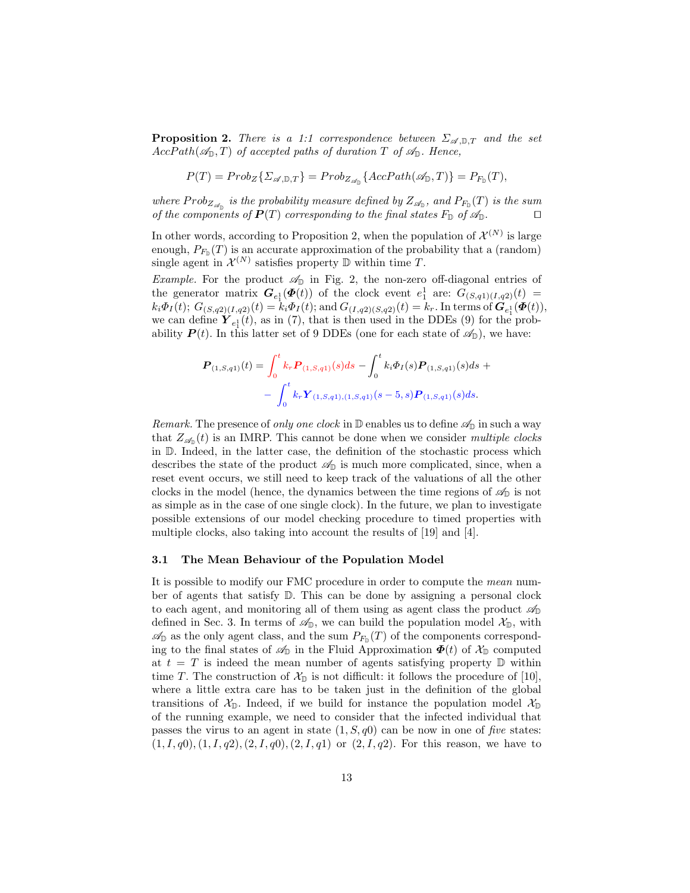**Proposition 2.** There is a 1:1 correspondence between  $\Sigma_{\mathscr{A},\mathbb{D},T}$  and the set  $AccPath(\mathcal{A}_{\mathbb{D}}, T)$  of accepted paths of duration T of  $\mathcal{A}_{\mathbb{D}}$ . Hence,

$$
P(T) = Prob_Z\{\Sigma_{\mathscr{A}, \mathbb{D}, T}\} = Prob_{Z_{\mathscr{A}_{\mathbb{D}}}}\{\text{AccPath}(\mathscr{A}_{\mathbb{D}}, T)\} = P_{F_{\mathbb{D}}}(T),
$$

where  $Prob_{Z_{\mathscr{A}_{\mathbb{D}}}}$  is the probability measure defined by  $Z_{\mathscr{A}_{\mathbb{D}}},$  and  $P_{F_{\mathbb{D}}}(T)$  is the sum of the components of  $P(T)$  corresponding to the final states  $F_{\mathbb{D}}$  of  $\mathscr{A}_{\mathbb{D}}$ .

In other words, according to Proposition 2, when the population of  $\mathcal{X}^{(N)}$  is large enough,  $P_{F_{\mathbb{D}}}(T)$  is an accurate approximation of the probability that a (random) single agent in  $\mathcal{X}^{(N)}$  satisfies property  $\mathbb D$  within time T.

Example. For the product  $\mathcal{A}_{\mathbb{D}}$  in Fig. 2, the non-zero off-diagonal entries of the generator matrix  $G_{e_1^1}(\Phi(t))$  of the clock event  $e_1^1$  are:  $G_{(S,q_1)(I,q_2)}(t)$  $k_i \Phi_I(t)$ ;  $G_{(S,q2)(I,q2)}(t) = k_i \Phi_I(t)$ ; and  $G_{(I,q2)(S,q2)}(t) = k_r$ . In terms of  $\mathbf{G}_{e_1}(\Phi(t))$ , we can define  $Y_{e_1^1}(t)$ , as in (7), that is then used in the DDEs (9) for the probability  $P(t)$ . In this latter set of 9 DDEs (one for each state of  $\mathscr{A}_{\mathbb{D}}$ ), we have:

$$
\mathbf{P}_{(1,S,q1)}(t) = \int_0^t k_r \mathbf{P}_{(1,S,q1)}(s) ds - \int_0^t k_i \Phi_I(s) \mathbf{P}_{(1,S,q1)}(s) ds + - \int_0^t k_r \mathbf{Y}_{(1,S,q1),(1,S,q1)}(s-5,s) \mathbf{P}_{(1,S,q1)}(s) ds.
$$

*Remark.* The presence of only one clock in  $\mathbb D$  enables us to define  $\mathscr A_{\mathbb D}$  in such a way that  $Z_{\mathscr{A}_{\mathbb{D}}}(t)$  is an IMRP. This cannot be done when we consider multiple clocks in D. Indeed, in the latter case, the definition of the stochastic process which describes the state of the product  $\mathcal{A}_{\mathbb{D}}$  is much more complicated, since, when a reset event occurs, we still need to keep track of the valuations of all the other clocks in the model (hence, the dynamics between the time regions of  $\mathscr{A}_{\mathbb{D}}$  is not as simple as in the case of one single clock). In the future, we plan to investigate possible extensions of our model checking procedure to timed properties with multiple clocks, also taking into account the results of [19] and [4].

#### 3.1 The Mean Behaviour of the Population Model

It is possible to modify our FMC procedure in order to compute the mean number of agents that satisfy D. This can be done by assigning a personal clock to each agent, and monitoring all of them using as agent class the product  $\mathscr{A}_{\mathbb{D}}$ defined in Sec. 3. In terms of  $\mathscr{A}_{\mathbb{D}}$ , we can build the population model  $\mathcal{X}_{\mathbb{D}}$ , with  $\mathscr{A}_{\mathbb{D}}$  as the only agent class, and the sum  $P_{F_{\mathbb{D}}}(T)$  of the components corresponding to the final states of  $\mathscr{A}_{\mathbb{D}}$  in the Fluid Approximation  $\Phi(t)$  of  $\mathcal{X}_{\mathbb{D}}$  computed at  $t = T$  is indeed the mean number of agents satisfying property  $\mathbb D$  within time T. The construction of  $\mathcal{X}_{\mathbb{D}}$  is not difficult: it follows the procedure of [10], where a little extra care has to be taken just in the definition of the global transitions of  $\mathcal{X}_{\mathbb{D}}$ . Indeed, if we build for instance the population model  $\mathcal{X}_{\mathbb{D}}$ of the running example, we need to consider that the infected individual that passes the virus to an agent in state  $(1, S, q0)$  can be now in one of five states:  $(1, I, q0), (1, I, q2), (2, I, q0), (2, I, q1)$  or  $(2, I, q2)$ . For this reason, we have to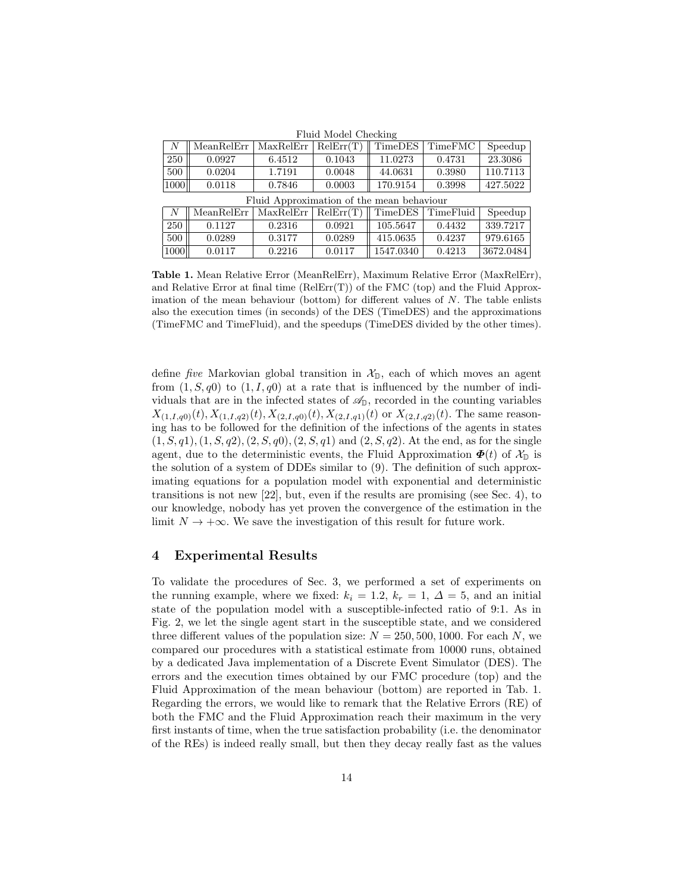| I laid model Officening  |                                                           |        |        |          |        |          |  |  |  |  |
|--------------------------|-----------------------------------------------------------|--------|--------|----------|--------|----------|--|--|--|--|
|                          | $MeanRelErr   MaxRelErr   RelErr(T)    TimeDES   TimeFMC$ |        |        |          |        | Speedup  |  |  |  |  |
| 250                      | 0.0927                                                    | 6.4512 | 0.1043 | 11.0273  | 0.4731 | 23.3086  |  |  |  |  |
| 500                      | 0.0204                                                    | 1.7191 | 0.0048 | 44.0631  | 0.3980 | 110.7113 |  |  |  |  |
| $\vert 1000 \vert \vert$ | 0.0118                                                    | 0.7846 | 0.0003 | 170.9154 | 0.3998 | 427.5022 |  |  |  |  |
|                          |                                                           |        |        |          |        |          |  |  |  |  |

Fluid Model Checking

| Fluid Approximation of the mean behaviour |            |                                                |        |           |        |           |  |  |  |  |
|-------------------------------------------|------------|------------------------------------------------|--------|-----------|--------|-----------|--|--|--|--|
|                                           | MeanRelErr | $MaxRelErr   RelErr(T)    TimeDES   TimeFluid$ |        |           |        | Speedup   |  |  |  |  |
| 250                                       | 0.1127     | 0.2316                                         | 0.0921 | 105.5647  | 0.4432 | 339.7217  |  |  |  |  |
| 500                                       | 0.0289     | 0.3177                                         | 0.0289 | 415.0635  | 0.4237 | 979.6165  |  |  |  |  |
| 1000                                      | 0.0117     | 0.2216                                         | 0.0117 | 1547.0340 | 0.4213 | 3672.0484 |  |  |  |  |

Table 1. Mean Relative Error (MeanRelErr), Maximum Relative Error (MaxRelErr), and Relative Error at final time  $(RelErr(T))$  of the FMC (top) and the Fluid Approximation of the mean behaviour (bottom) for different values of  $N$ . The table enlists also the execution times (in seconds) of the DES (TimeDES) and the approximations (TimeFMC and TimeFluid), and the speedups (TimeDES divided by the other times).

define *five* Markovian global transition in  $\mathcal{X}_{\mathbb{D}}$ , each of which moves an agent from  $(1, S, q0)$  to  $(1, I, q0)$  at a rate that is influenced by the number of individuals that are in the infected states of  $\mathscr{A}_{\mathbb{D}}$ , recorded in the counting variables  $X_{(1,I,q0)}(t), X_{(1,I,q2)}(t), X_{(2,I,q0)}(t), X_{(2,I,q1)}(t)$  or  $X_{(2,I,q2)}(t)$ . The same reasoning has to be followed for the definition of the infections of the agents in states  $(1, S, q1), (1, S, q2), (2, S, q0), (2, S, q1)$  and  $(2, S, q2)$ . At the end, as for the single agent, due to the deterministic events, the Fluid Approximation  $\Phi(t)$  of  $\mathcal{X}_{\mathbb{D}}$  is the solution of a system of DDEs similar to (9). The definition of such approximating equations for a population model with exponential and deterministic transitions is not new [22], but, even if the results are promising (see Sec. 4), to our knowledge, nobody has yet proven the convergence of the estimation in the limit  $N \to +\infty$ . We save the investigation of this result for future work.

### 4 Experimental Results

To validate the procedures of Sec. 3, we performed a set of experiments on the running example, where we fixed:  $k_i = 1.2$ ,  $k_r = 1$ ,  $\Delta = 5$ , and an initial state of the population model with a susceptible-infected ratio of 9:1. As in Fig. 2, we let the single agent start in the susceptible state, and we considered three different values of the population size:  $N = 250, 500, 1000$ . For each N, we compared our procedures with a statistical estimate from 10000 runs, obtained by a dedicated Java implementation of a Discrete Event Simulator (DES). The errors and the execution times obtained by our FMC procedure (top) and the Fluid Approximation of the mean behaviour (bottom) are reported in Tab. 1. Regarding the errors, we would like to remark that the Relative Errors (RE) of both the FMC and the Fluid Approximation reach their maximum in the very first instants of time, when the true satisfaction probability (i.e. the denominator of the REs) is indeed really small, but then they decay really fast as the values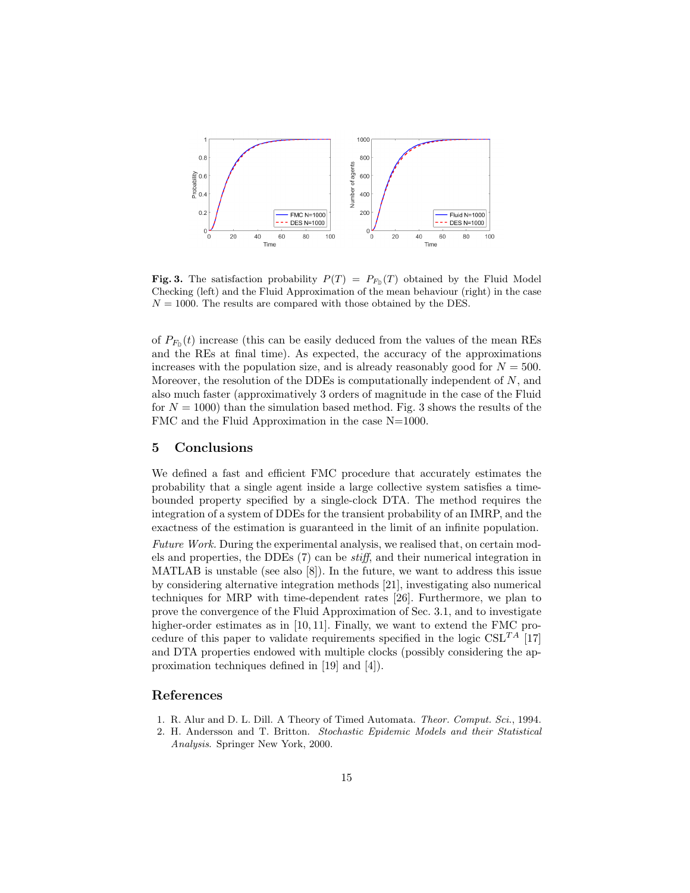

**Fig. 3.** The satisfaction probability  $P(T) = P_{F<sub>D</sub>}(T)$  obtained by the Fluid Model Checking (left) and the Fluid Approximation of the mean behaviour (right) in the case  $N = 1000$ . The results are compared with those obtained by the DES.

of  $P_{F_{\mathbb{D}}}(t)$  increase (this can be easily deduced from the values of the mean REs and the REs at final time). As expected, the accuracy of the approximations increases with the population size, and is already reasonably good for  $N = 500$ . Moreover, the resolution of the DDEs is computationally independent of  $N$ , and also much faster (approximatively 3 orders of magnitude in the case of the Fluid for  $N = 1000$  than the simulation based method. Fig. 3 shows the results of the FMC and the Fluid Approximation in the case N=1000.

### 5 Conclusions

We defined a fast and efficient FMC procedure that accurately estimates the probability that a single agent inside a large collective system satisfies a timebounded property specified by a single-clock DTA. The method requires the integration of a system of DDEs for the transient probability of an IMRP, and the exactness of the estimation is guaranteed in the limit of an infinite population.

Future Work. During the experimental analysis, we realised that, on certain models and properties, the DDEs (7) can be stiff, and their numerical integration in MATLAB is unstable (see also [8]). In the future, we want to address this issue by considering alternative integration methods [21], investigating also numerical techniques for MRP with time-dependent rates [26]. Furthermore, we plan to prove the convergence of the Fluid Approximation of Sec. 3.1, and to investigate higher-order estimates as in [10, 11]. Finally, we want to extend the FMC procedure of this paper to validate requirements specified in the logic  $CSL^{TA}$  [17] and DTA properties endowed with multiple clocks (possibly considering the approximation techniques defined in [19] and [4]).

## References

- 1. R. Alur and D. L. Dill. A Theory of Timed Automata. Theor. Comput. Sci., 1994.
- 2. H. Andersson and T. Britton. Stochastic Epidemic Models and their Statistical Analysis. Springer New York, 2000.